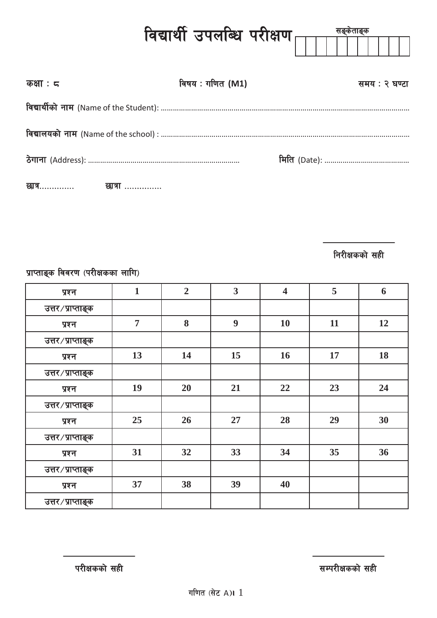|                   | विद्यार्थी उपलब्धि परीक्षण <sub>ाणि</sub> | सङ्कताङ्क |               |
|-------------------|-------------------------------------------|-----------|---------------|
| कक्षाः $\epsilon$ | विषय : गणित (M1)                          |           | समय : २ घण्टा |
|                   |                                           |           |               |
|                   |                                           |           |               |
|                   |                                           |           |               |
|                   |                                           |           |               |

**निरीक्षकको सही** 

प्राप्ताङ्क विवरण (परीक्षकका लागि)

| प्रश्न            | $\mathbf{1}$   | $\overline{2}$ | $\overline{\mathbf{3}}$ | $\overline{\mathbf{4}}$ | 5  | 6  |
|-------------------|----------------|----------------|-------------------------|-------------------------|----|----|
| उत्तर/प्राप्ताङ्क |                |                |                         |                         |    |    |
| प्रश्न            | $\overline{7}$ | 8              | 9                       | 10                      | 11 | 12 |
| उत्तर/प्राप्ताङ्क |                |                |                         |                         |    |    |
| प्रश्न            | 13             | 14             | 15                      | 16                      | 17 | 18 |
| उत्तर/प्राप्ताङ्क |                |                |                         |                         |    |    |
| प्रश्न            | 19             | 20             | 21                      | 22                      | 23 | 24 |
| उत्तर/प्राप्ताङ्क |                |                |                         |                         |    |    |
| प्रश्न            | 25             | 26             | 27                      | 28                      | 29 | 30 |
| उत्तर/प्राप्ताङ्क |                |                |                         |                         |    |    |
| प्रश्न            | 31             | 32             | 33                      | 34                      | 35 | 36 |
| उत्तर/प्राप्ताङ्क |                |                |                         |                         |    |    |
| प्रश्न            | 37             | 38             | 39                      | 40                      |    |    |
| उत्तर/प्राप्ताङ्क |                |                |                         |                         |    |    |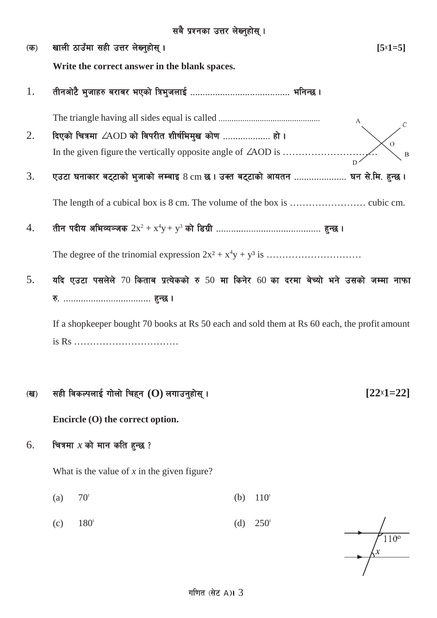-s\_ vfnL 7fpFdf ;xL pQ/ n]Vg'xf];\ . **[5**×**1=5] Write the correct answer in the blank spaces.** 1. tLgcf]6} e'hfx? a/fa/ ePsf] lqe'hnfO{ ======================================== elgG5 . The triangle having all sides equal is called ===============================================  $2.$  दिएको चित्रमा  $\angle$ AOD को विपरीत शीर्षभिमुख कोण .................... हो। In the given figure the vertically opposite angle of ∠AOD is …………………………  $3.$  Pुउटा घनाकार बट्टाको भुजाको लम्बाइ  $8\,\mathrm{cm}$  छ । उक्त बट्टाको आयतन ..................... घन से.मि. हुन्छ । The length of a cubical box is 8 cm. The volume of the box is …………………… cubic cm.  $4. \qquad$  तीन पदीय अभिव्यञ्जक  $2x^2 + x^4y + y^3$  को डिग्री ……………………………………… हुन्छ । The degree of the trinomial expression 2x² + x4 y + y³ is …………………………  $5.$  पदि एउटा पसलेले 70 किताब प्रत्येकको रु 50 मा किनेर 60 का दरमा बेच्यो भने उसको जम्मा नाफा ?= =================================== x'G5 . If a shopkeeper bought 70 books at Rs 50 each and sold them at Rs 60 each, the profit amount is Rs ……………………………

## $\overline{v}$  , we say that we ready find that  $\overline{v}$  and  $\overline{v}$  and  $\overline{v}$  and  $\overline{v}$  and  $\overline{v}$  and  $\overline{v}$  and  $\overline{v}$  and  $\overline{v}$  and  $\overline{v}$  and  $\overline{v}$  and  $\overline{v}$  and  $\overline{v}$  and  $\overline{v}$  and  $\overline{v}$

**Encircle (O) the correct option.**

 $6.$  । चित्रमा  $x$  को मान कति हुन्छ ?

What is the value of *x* in the given figure?

- (a)  $70^{\circ}$  (b)  $110^{\circ}$
- (c)  $180^{\circ}$  (d)  $250^{\circ}$

 $110<sup>o</sup>$ 

**[22**×**1=22]**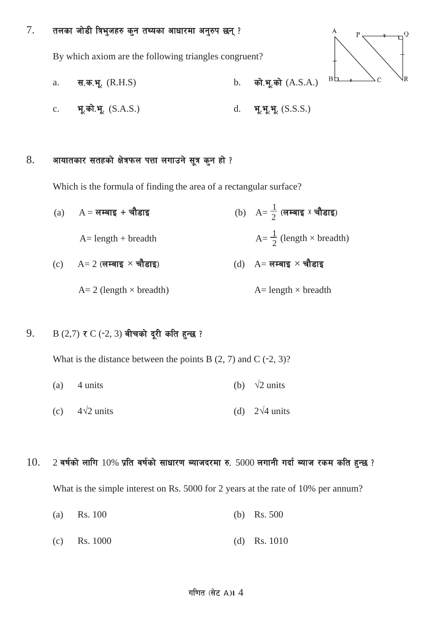$7.$  तलका जोडी त्रिभुजहरु कुन तथ्यका आधारमा अनुरुप छन् ?

By which axiom are the following triangles congruent?



- a.  $\vec{a} = \vec{a}$ ,  $\vec{a} = \vec{b}$ ,  $\vec{a} = \vec{b}$ ,  $\vec{a} = \vec{b}$ ,  $\vec{a} = \vec{b}$ ,  $\vec{a} = \vec{b}$ ,  $\vec{a} = \vec{b}$ ,  $\vec{a} = \vec{b}$ ,  $\vec{a} = \vec{b}$ ,  $\vec{a} = \vec{b}$ ,  $\vec{a} = \vec{b}$ ,  $\vec{a} = \vec{b}$ ,  $\vec{a} = \vec{b}$ ,  $\vec{a} = \vec{b}$ ,  $\vec{a} = \$
- c. भू.को.भू.  $(S.A.S.)$  d. भू.भू.  $( S.S.S.)$

## $8.$  अायातकार सतहको क्षेत्रफल पत्ता लगाउने सूत्र कुन हो ?

Which is the formula of finding the area of a rectangular surface?

 $\frac{1}{2}$  (लम्बाइ x चौडाइ)  $(a)$  A = लम्बाइ + चौडाइ  $A=$  length + breadth  $\frac{1}{2}$  (length  $\times$  breadth)  $(c)$  A= 2 (लम्बाइ  $\times$  चौडाइ)  $(d)$  A= लम्बाइ  $\times$  चौडाइ  $A= 2$  (length  $\times$  breadth)  $A=$  length  $\times$  breadth

## 9. B  $(2,7)$  र C (−2, 3) बीचको दूरी कति हुन्छ ?

What is the distance between the points B  $(2, 7)$  and C  $(-2, 3)$ ?

- (a) 4 units (b)  $\sqrt{2}$  units
- (c) 4**√**2 units (d) 2**√**4 units

## $10.$  2 वर्षको लागि  $10\%$  प्रति वर्षको साधारण ब्याजदरमा रु.  $5000$  लगानी गर्दा ब्याज रकम कति हुन्छ ?

What is the simple interest on Rs. 5000 for 2 years at the rate of 10% per annum?

- (a) Rs. 100 (b) Rs. 500
- (c) Rs. 1000 (d) Rs. 1010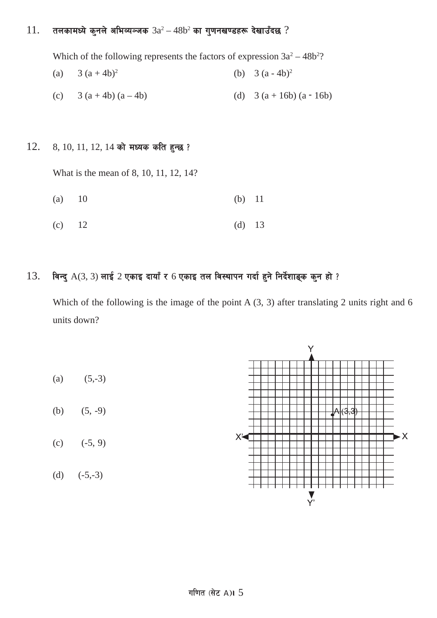## $11.$  तलकामध्ये कुनले अभिव्यञ्जक  $3a^2 - 48b^2$  का गुणनखण्डहरू देखाउँदछ ?

Which of the following represents the factors of expression  $3a^2 - 48b^2$ ?

- (a)  $3 (a + 4b)^2$  (b)  $3 (a 4b)^2$
- (c)  $3 (a + 4b) (a 4b)$  (d)  $3 (a + 16b) (a 16b)$

## $12.$  8, 10, 11, 12, 14 को मध्यक कति हुन्छ ?

What is the mean of 8, 10, 11, 12, 14?

- (a) 10 (b) 11
- (c)  $12$  (d)  $13$

## $13.$  विन्दु  $A(3, 3)$  लाई  $2$  एकाइ दायाँ र 6 एकाइ तल विस्थापन गर्दा हुने निर्देशाङ्क कुन हो ?

Which of the following is the image of the point A  $(3, 3)$  after translating 2 units right and 6 units down?

Ý (a)  $(5,-3)$ (b)  $(5, -9)$  $\blacktriangleright$  X X₹ (c)  $(-5, 9)$ (d)  $(-5,-3)$  $\sum_{\Upsilon'}$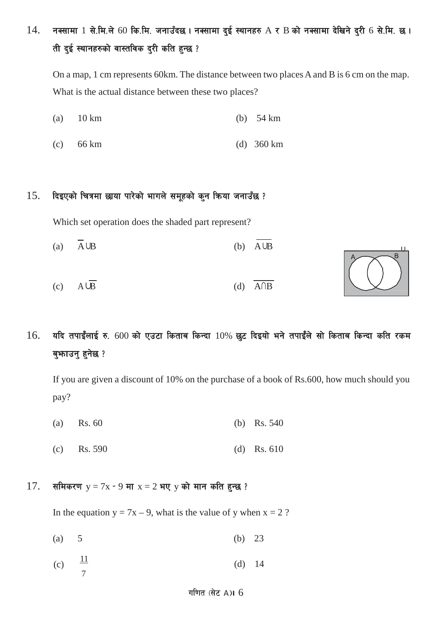$14.$  नक्सामा  $1$  से.मि.ले 60 कि.मि. जनाउँदछ। नक्सामा दुई स्थानहरु  $A \times B$  को नक्सामा देखिने दुरी 6 से.मि. छ। ती दुई स्थानहरुको वास्तविक दुरी कति हुन्छ ?

On a map, 1 cm represents 60km. The distance between two places A and B is 6 cm on the map. What is the actual distance between these two places?

- (a) 10 km (b) 54 km
- (c) 66 km (d) 360 km

## $15.$  दिइएको चित्रमा छाया पारेको भागले समूहको कुन किया जनाउँछ ?

Which set operation does the shaded part represent?

- (a)  $\overline{A} \cup B$  (b)  $\overline{A} \cup B$
- (c)  $A\overline{B}$  (d)  $\overline{A\cap B}$



 $16.$  यदि तपाईंलाई रु. 600 को एउटा किताब किन्दा  $10\%$  छट दिइयो भने तपाईंले सो किताब किन्दा कति रकम बुफाउनु हुनेछ ?

If you are given a discount of 10% on the purchase of a book of Rs.600, how much should you pay?

- (a) Rs. 60 (b) Rs. 540
- (c) Rs. 590 (d) Rs. 610

### $17.$  समिकरण  $y = 7x - 9$  मा  $x = 2$  भए  $y$  को मान कति हुन्छ ?

In the equation  $y = 7x - 9$ , what is the value of y when  $x = 2$ ?

- (a)  $5$  (b)  $23$
- (c)  $\frac{11}{7}$  7 (d) 14

### गणित $($ सेट A) 6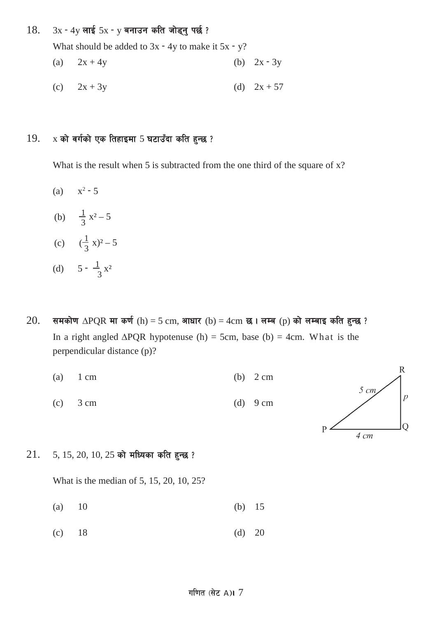## 18.  $3x - 4y$  लाई  $5x - y$  बनाउन कति जोड्नु पर्छ ?

What should be added to  $3x - 4y$  to make it  $5x - y$ ?

- (a)  $2x + 4y$  (b)  $2x 3y$
- (c)  $2x + 3y$  (d)  $2x + 57$

## $19.$  x को वर्गको एक तिहाइमा 5 घटाउँदा कति हुन्छ ?

What is the result when 5 is subtracted from the one third of the square of x?

- (a)  $x^2 5$
- (b)  $\frac{1}{3}x^2-5$
- (c)  $(\frac{1}{3}x)^2 5$
- (d)  $5 \frac{1}{3}x^2$
- $20.$  समकोण ∆PQR मा कर्ण (h) = 5 cm, आधार (b) = 4cm छ। लम्ब (p) को लम्बाइ कति हुन्छ ? In a right angled  $\triangle PQR$  hypotenuse (h) = 5cm, base (b) = 4cm. What is the perpendicular distance (p)?
	- (a)  $1 \text{ cm}$  (b)  $2 \text{ cm}$ (c)  $3 \text{ cm}$  (d)  $9 \text{ cm}$



 $21.$  5, 15, 20, 10, 25 को मध्यिका कति हुन्छ ?

What is the median of 5, 15, 20, 10, 25?

- (a) 10 (b) 15
- (c)  $18$  (d)  $20$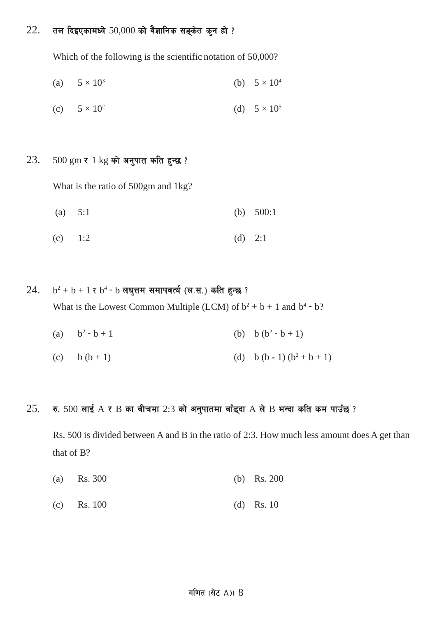## $22.$  तल दिइएकामध्ये 50,000 को वैज्ञानिक सङ्केत कुन हो ?

Which of the following is the scientific notation of 50,000?

(a) 
$$
5 \times 10^3
$$
 (b)  $5 \times 10^4$ 

(c) 
$$
5 \times 10^2
$$
 (d)  $5 \times 10^5$ 

## $23.$  500 gm र 1 kg को अनुपात कति हुन्छ ?

What is the ratio of 500gm and 1kg?

- (a) 5:1 (b) 500:1
- (c)  $1:2$  (d)  $2:1$
- $24.$  b<sup>2</sup> + b + 1 र b<sup>4</sup> − b लघुत्तम समापवर्त्य (ल.स.) कति हुन्छ ? What is the Lowest Common Multiple (LCM) of  $b^2 + b + 1$  and  $b^4 - b$ ?
	- (a)  $b^2 b + 1$  (b)  $b (b^2 b + 1)$
	- (c) b  $(b + 1)$  (d) b  $(b 1) (b<sup>2</sup> + b + 1)$

## $25.$  रु. 500 लाई  $A \times B$  का बीचमा 2:3 को अनुपातमा बाँड्दा  $A$  ले  $B$  भन्दा कति कम पाउँछ ?

Rs. 500 is divided between A and B in the ratio of 2:3. How much less amount does A get than that of B?

- (a) Rs. 300 (b) Rs. 200
- (c) Rs. 100 (d) Rs. 10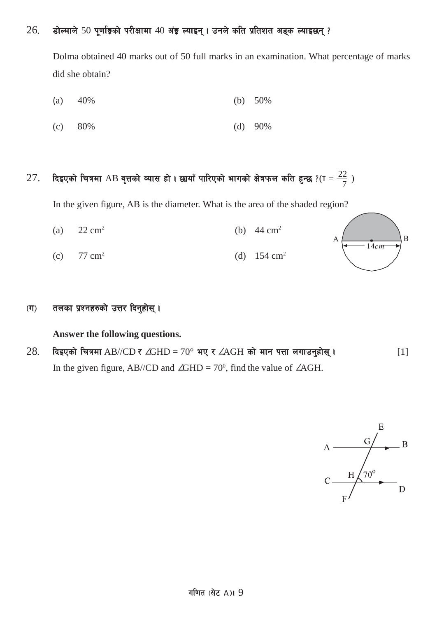## $26$ . डोल्माले 50 पूर्णाङ्गको परीक्षामा 40 अंङ्ग ल्याइन् । उनले कति प्रतिशत अङ्क ल्याइछन् ?

Dolma obtained 40 marks out of 50 full marks in an examination. What percentage of marks did she obtain?

- (a)  $40\%$  (b)  $50\%$
- (c) 80% (d) 90%

# 27. दिइएको चित्रमा AB वृत्तको व्यास हो । छायाँ पारिएको भागको क्षेत्रफल कति हुन्छ ?( $\pi = \frac{22}{7}$  )

In the given figure, AB is the diameter. What is the area of the shaded region?

- (a)  $22 \text{ cm}^2$  (b)  $44 \text{ cm}^2$
- (c)  $77 \text{ cm}^2$  (d)  $154 \text{ cm}^2$

## $\sigma(\overline{u})$  तलका प्रश्नहरुको उत्तर दिनुहोस् ।

### **Answer the following questions.**

 $28.$  दिइएको चित्रमा AB//CD र ∠GHD = 70° भए र ∠AGH को मान पत्ता लगाउनुहोस् । . . . . . . . . . [1] In the given figure, AB//CD and  $\angle$ GHD = 70<sup>0</sup>, find the value of  $\angle$ AGH.



 $\overline{B}$ 

 $14cm$ 

A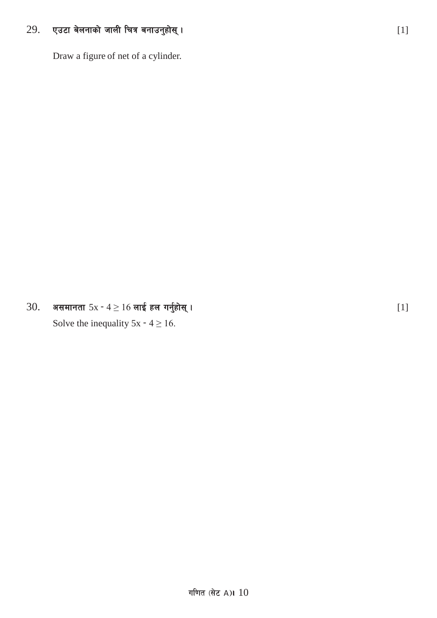#### 29. एउटा बेलनाको जाली चित्र बनाउनुहोस् ।

Draw a figure of net of a cylinder.

असमानता  $5x - 4 \ge 16$  लाई हल गर्नुहोस् । 30.

Solve the inequality  $5x - 4 \ge 16$ .

 $[1]$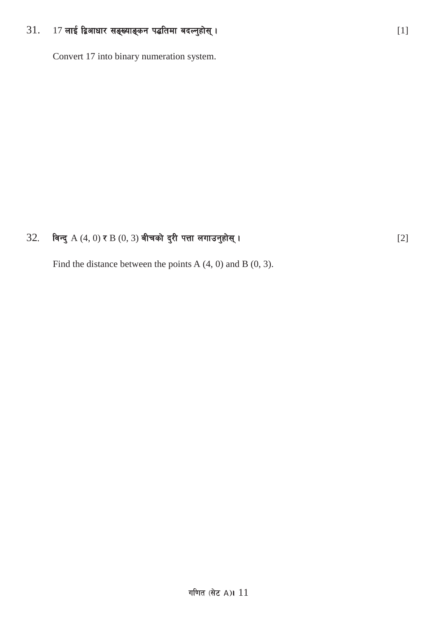#### 17 लाई द्विआधार सङ्ख्याङ्कन पद्धतिमा बदल्नुहोस् ।  $31.$

Convert 17 into binary numeration system.

#### 32. विन्दु  $A(4, 0)$  र  $B(0, 3)$  बीचको दुरी पत्ता लगाउनुहोस् ।

Find the distance between the points A  $(4, 0)$  and B  $(0, 3)$ .

 $[2]$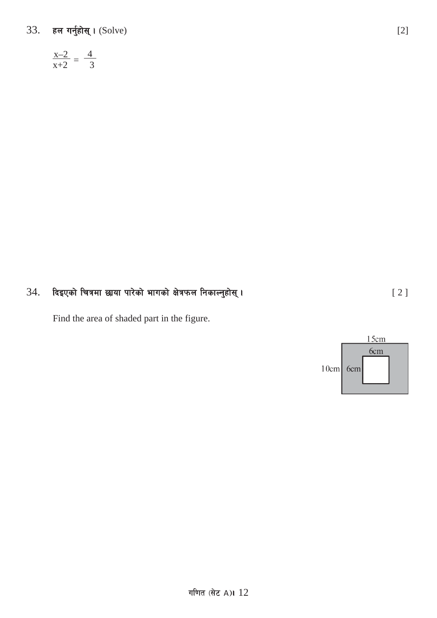# 33. हल गर्नुहोस् । (Solve)

$$
\frac{x-2}{x+2} = \frac{4}{3}
$$

### दिइएको चित्रमा छाया पारेको भागको क्षेत्रफल निकाल्नुहोस् । 34.

Find the area of shaded part in the figure.



 $[2]$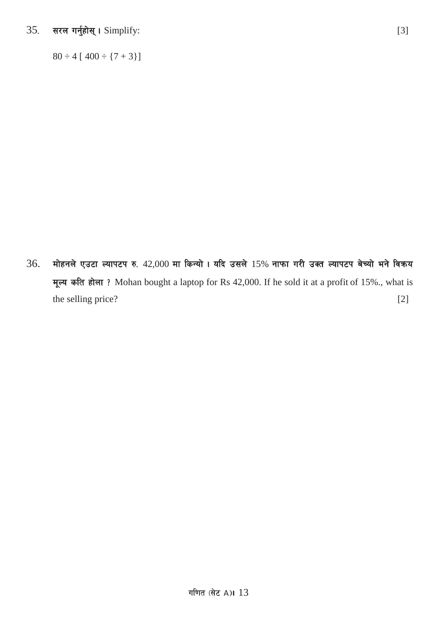सरल गर्नुहोस् । Simplify: 35.

 $80 \div 4 [400 \div {7 + 3}]$ 

मोहनले एउटा ल्यापटप रु. 42,000 मा किन्यो । यदि उसले 15% नाफा गरी उक्त ल्यापटप बेच्यो भने विकय 36. मूल्य कति होला? Mohan bought a laptop for Rs 42,000. If he sold it at a profit of 15%., what is the selling price?  $[2]$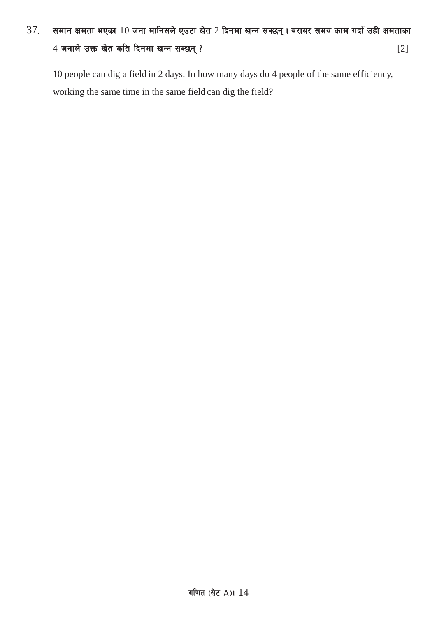# $37.$  समान क्षमता भएका  $10$  जना मानिसले एउटा खेत 2 दिनमा खन्न सक्छन्। बराबर समय काम गर्दा उही क्षमताका  $4 \pi$ नाले उक्त खेत कति दिनमा खन्न सक्छन् ?

10 people can dig a field in 2 days. In how many days do 4 people of the same efficiency, working the same time in the same field can dig the field?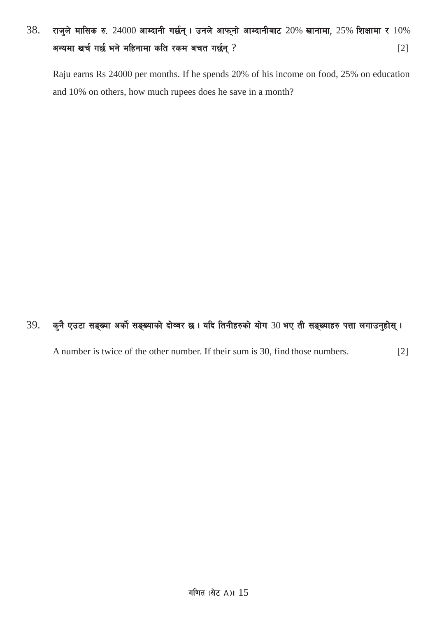# $38.$  राजुले मासिक रु. 24000 आम्दानी गर्छन् । उनले आफ्नो आम्दानीबाट 20% खानामा, 25% शिक्षामा र  $10\%$ अन्यमा खर्च गर्छ भने महिनामा कति रकम बचत गर्छन् ? ब्रिंग का स्वास्थ्य करने के साथ प्रश्न हो । [2]

Raju earns Rs 24000 per months. If he spends 20% of his income on food, 25% on education and 10% on others, how much rupees does he save in a month?

## $39.$  कुनै एउटा सङ्ख्या अर्को सङ्ख्याको दोव्वर छ। यदि तिनीहरुको योग  $30$  भए ती सङ्ख्याहरु पत्ता लगाउनुहोस् ।

A number is twice of the other number. If their sum is 30, find those numbers. [2]